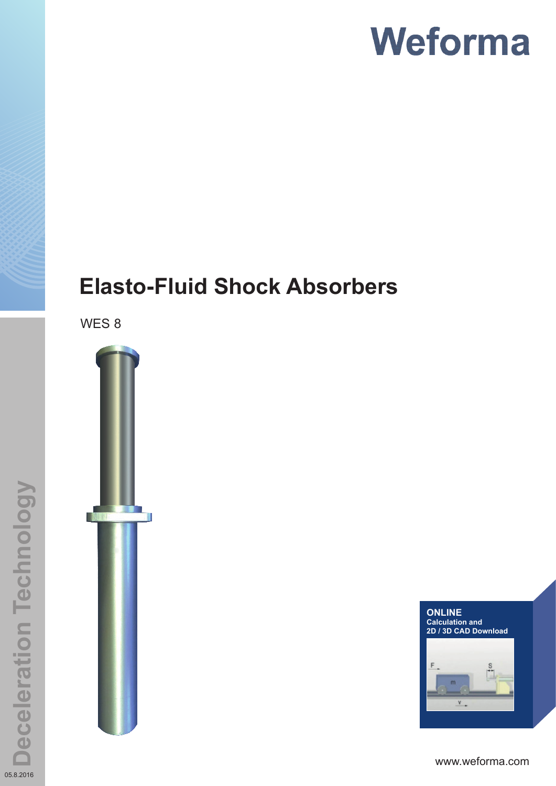## **Elasto-Fluid Shock Absorbers**

WES 8





www.weforma.com

05.8.2016

**Deceleration Technology**

**Deceleration Technology**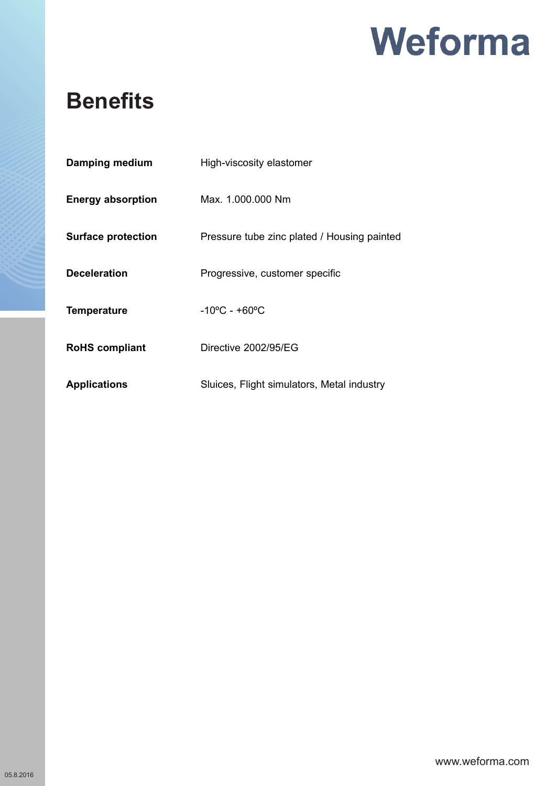

### **Benefits**

| Damping medium            | High-viscosity elastomer                    |
|---------------------------|---------------------------------------------|
| <b>Energy absorption</b>  | Max. 1.000.000 Nm                           |
| <b>Surface protection</b> | Pressure tube zinc plated / Housing painted |
| <b>Deceleration</b>       | Progressive, customer specific              |
| <b>Temperature</b>        | $-10^{\circ}$ C - +60 $^{\circ}$ C          |
| <b>RoHS</b> compliant     | Directive 2002/95/EG                        |
| <b>Applications</b>       | Sluices, Flight simulators, Metal industry  |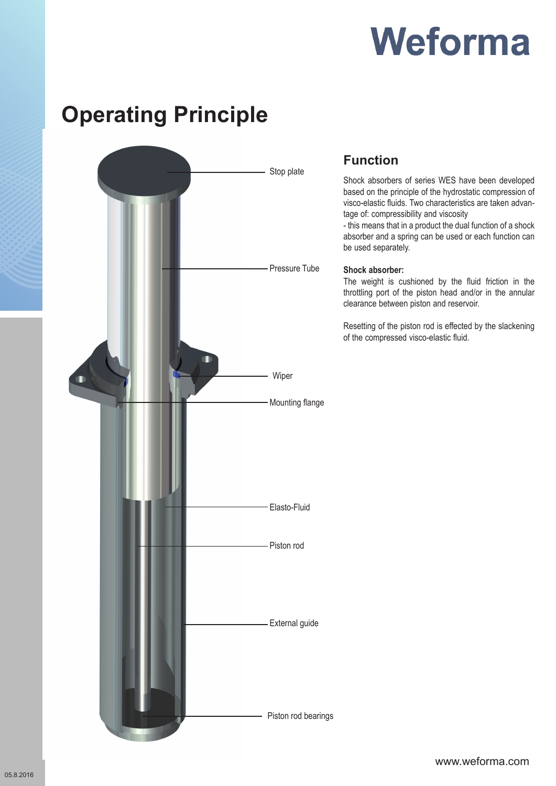## **Operating Principle**



### **Function**

Shock absorbers of series WES have been developed based on the principle of the hydrostatic compression of visco-elastic fluids. Two characteristics are taken advantage of: compressibility and viscosity

- this means that in a product the dual function of a shock absorber and a spring can be used or each function can be used separately.

#### **Shock absorber:**

The weight is cushioned by the fluid friction in the throttling port of the piston head and/or in the annular clearance between piston and reservoir.

Resetting of the piston rod is effected by the slackening of the compressed visco-elastic fluid.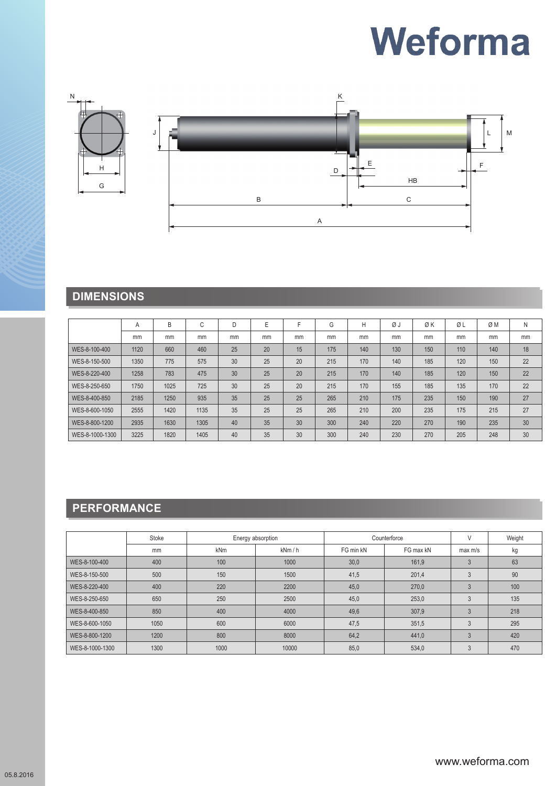

### **DIMENSIONS**

|                 | Α    | B    | $\sim$<br>U | D  | E  | E  | G   | Н   | ØJ  | ØK  | ØL  | ØΜ  | N  |
|-----------------|------|------|-------------|----|----|----|-----|-----|-----|-----|-----|-----|----|
|                 | mm   | mm   | mm          | mm | mm | mm | mm  | mm  | mm  | mm  | mm  | mm  | mm |
| WES-8-100-400   | 1120 | 660  | 460         | 25 | 20 | 15 | 175 | 140 | 130 | 150 | 110 | 140 | 18 |
| WES-8-150-500   | 1350 | 775  | 575         | 30 | 25 | 20 | 215 | 170 | 140 | 185 | 120 | 150 | 22 |
| WES-8-220-400   | 1258 | 783  | 475         | 30 | 25 | 20 | 215 | 170 | 140 | 185 | 120 | 150 | 22 |
| WES-8-250-650   | 1750 | 1025 | 725         | 30 | 25 | 20 | 215 | 170 | 155 | 185 | 135 | 170 | 22 |
| WES-8-400-850   | 2185 | 1250 | 935         | 35 | 25 | 25 | 265 | 210 | 175 | 235 | 150 | 190 | 27 |
| WES-8-600-1050  | 2555 | 1420 | 1135        | 35 | 25 | 25 | 265 | 210 | 200 | 235 | 175 | 215 | 27 |
| WES-8-800-1200  | 2935 | 1630 | 1305        | 40 | 35 | 30 | 300 | 240 | 220 | 270 | 190 | 235 | 30 |
| WES-8-1000-1300 | 3225 | 1820 | 1405        | 40 | 35 | 30 | 300 | 240 | 230 | 270 | 205 | 248 | 30 |

### **PERFORMANCE**

|                 | Stoke |            | Energy absorption |           | Counterforce |         | Weight |
|-----------------|-------|------------|-------------------|-----------|--------------|---------|--------|
|                 | mm    | <b>kNm</b> | kNm/h             | FG min kN | FG max kN    | max m/s | kg     |
| WES-8-100-400   | 400   | 100        | 1000              | 30,0      | 161.9        |         | 63     |
| WES-8-150-500   | 500   | 150        | 1500              | 41,5      | 201,4        |         | 90     |
| WES-8-220-400   | 400   | 220        | 2200              | 45,0      | 270,0        |         | 100    |
| WES-8-250-650   | 650   | 250        | 2500              | 45,0      | 253,0        | $\cdot$ | 135    |
| WES-8-400-850   | 850   | 400        | 4000              | 49,6      | 307,9        |         | 218    |
| WES-8-600-1050  | 1050  | 600        | 6000              | 47,5      | 351,5        | 3       | 295    |
| WES-8-800-1200  | 1200  | 800        | 8000              | 64,2      | 441,0        | 3       | 420    |
| WES-8-1000-1300 | 1300  | 1000       | 10000             | 85,0      | 534,0        |         | 470    |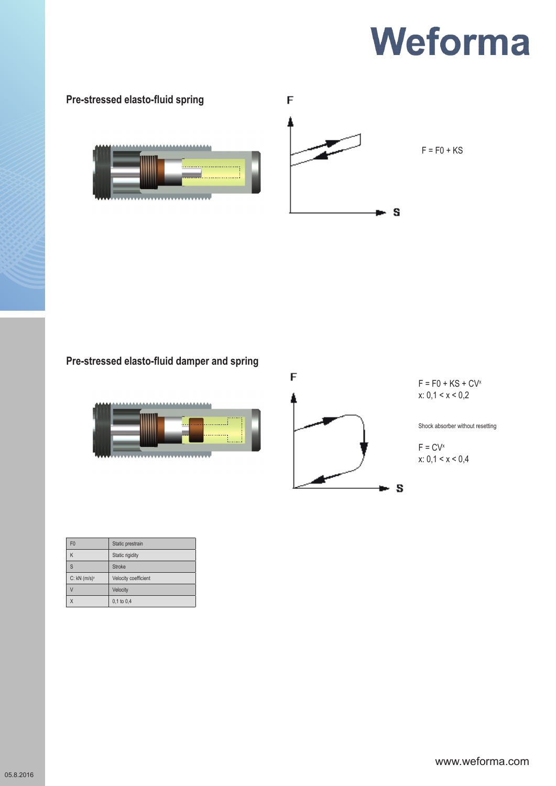

### **Pre-stressed elasto-fluid damper and spring**





 $F = F0 + KS + CV^x$  $x: 0, 1 < x < 0, 2$ 

Shock absorber without resetting

 $F = CV^x$  $x: 0, 1 < x < 0, 4$ 

| F <sub>0</sub>             | Static prestrain     |
|----------------------------|----------------------|
| K                          | Static rigidity      |
| S                          | Stroke               |
| $C: kN$ (m/s) <sup>x</sup> | Velocity coefficient |
|                            | Velocity             |
| X                          | 0,1 to 0,4           |